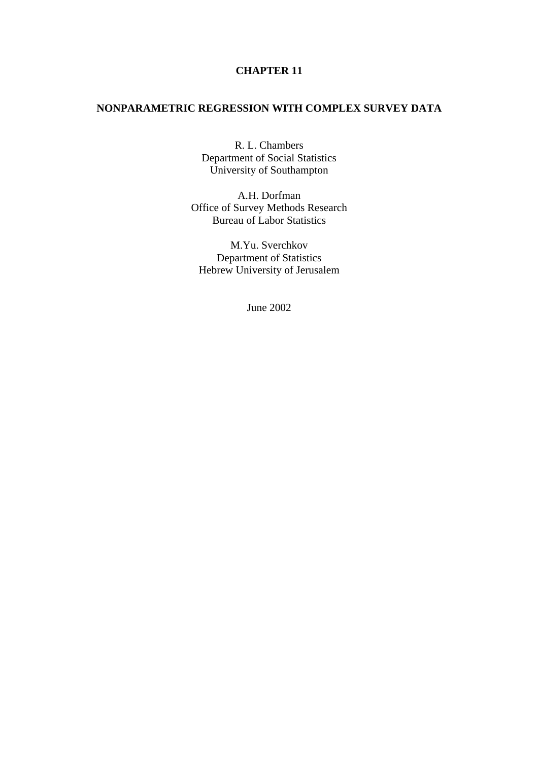# **CHAPTER 11**

# **NONPARAMETRIC REGRESSION WITH COMPLEX SURVEY DATA**

R. L. Chambers Department of Social Statistics University of Southampton

A.H. Dorfman Office of Survey Methods Research Bureau of Labor Statistics

M.Yu. Sverchkov Department of Statistics Hebrew University of Jerusalem

June 2002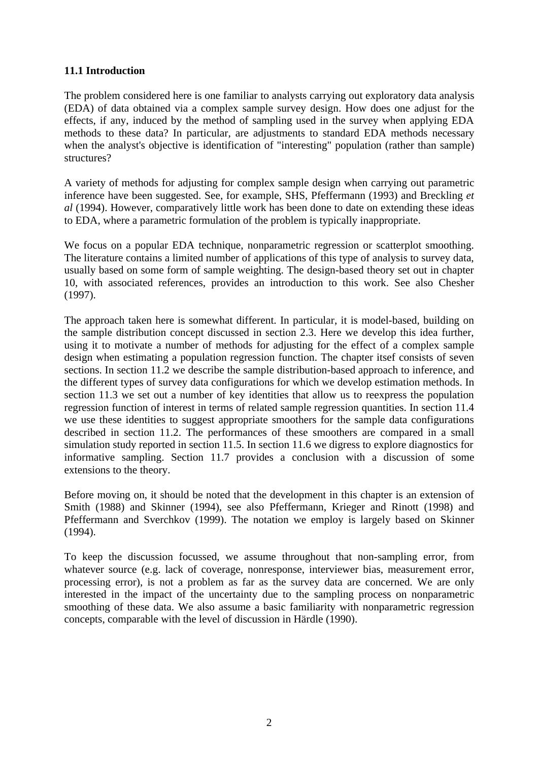# **11.1 Introduction**

The problem considered here is one familiar to analysts carrying out exploratory data analysis (EDA) of data obtained via a complex sample survey design. How does one adjust for the effects, if any, induced by the method of sampling used in the survey when applying EDA methods to these data? In particular, are adjustments to standard EDA methods necessary when the analyst's objective is identification of "interesting" population (rather than sample) structures?

A variety of methods for adjusting for complex sample design when carrying out parametric inference have been suggested. See, for example, SHS, Pfeffermann (1993) and Breckling *et al* (1994). However, comparatively little work has been done to date on extending these ideas to EDA, where a parametric formulation of the problem is typically inappropriate.

We focus on a popular EDA technique, nonparametric regression or scatterplot smoothing. The literature contains a limited number of applications of this type of analysis to survey data, usually based on some form of sample weighting. The design-based theory set out in chapter 10, with associated references, provides an introduction to this work. See also Chesher (1997).

The approach taken here is somewhat different. In particular, it is model-based, building on the sample distribution concept discussed in section 2.3. Here we develop this idea further, using it to motivate a number of methods for adjusting for the effect of a complex sample design when estimating a population regression function. The chapter itsef consists of seven sections. In section 11.2 we describe the sample distribution-based approach to inference, and the different types of survey data configurations for which we develop estimation methods. In section 11.3 we set out a number of key identities that allow us to reexpress the population regression function of interest in terms of related sample regression quantities. In section 11.4 we use these identities to suggest appropriate smoothers for the sample data configurations described in section 11.2. The performances of these smoothers are compared in a small simulation study reported in section 11.5. In section 11.6 we digress to explore diagnostics for informative sampling. Section 11.7 provides a conclusion with a discussion of some extensions to the theory.

Before moving on, it should be noted that the development in this chapter is an extension of Smith (1988) and Skinner (1994), see also Pfeffermann, Krieger and Rinott (1998) and Pfeffermann and Sverchkov (1999). The notation we employ is largely based on Skinner (1994).

To keep the discussion focussed, we assume throughout that non-sampling error, from whatever source (e.g. lack of coverage, nonresponse, interviewer bias, measurement error, processing error), is not a problem as far as the survey data are concerned. We are only interested in the impact of the uncertainty due to the sampling process on nonparametric smoothing of these data. We also assume a basic familiarity with nonparametric regression concepts, comparable with the level of discussion in Härdle (1990).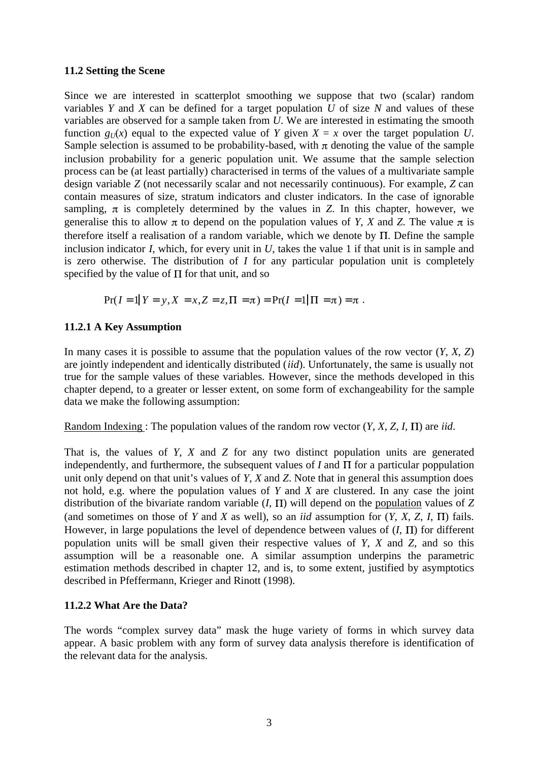### **11.2 Setting the Scene**

Since we are interested in scatterplot smoothing we suppose that two (scalar) random variables *Y* and *X* can be defined for a target population *U* of size *N* and values of these variables are observed for a sample taken from *U*. We are interested in estimating the smooth function  $g_U(x)$  equal to the expected value of *Y* given  $X = x$  over the target population *U*. Sample selection is assumed to be probability-based, with  $\pi$  denoting the value of the sample inclusion probability for a generic population unit. We assume that the sample selection process can be (at least partially) characterised in terms of the values of a multivariate sample design variable *Z* (not necessarily scalar and not necessarily continuous). For example, *Z* can contain measures of size, stratum indicators and cluster indicators. In the case of ignorable sampling,  $\pi$  is completely determined by the values in *Z*. In this chapter, however, we generalise this to allow  $\pi$  to depend on the population values of *Y*, *X* and *Z*. The value  $\pi$  is therefore itself a realisation of a random variable, which we denote by  $\Pi$ . Define the sample inclusion indicator *I*, which, for every unit in *U*, takes the value 1 if that unit is in sample and is zero otherwise. The distribution of *I* for any particular population unit is completely specified by the value of  $\Pi$  for that unit, and so

 $Pr(I = 1 | Y = y, X = x, Z = z, \Pi = \pi) = Pr(I = 1 | \Pi = \pi) = \pi$ .

## **11.2.1 A Key Assumption**

In many cases it is possible to assume that the population values of the row vector (*Y*, *X*, *Z*) are jointly independent and identically distributed (*iid*). Unfortunately, the same is usually not true for the sample values of these variables. However, since the methods developed in this chapter depend, to a greater or lesser extent, on some form of exchangeability for the sample data we make the following assumption:

Random Indexing : The population values of the random row vector  $(Y, X, Z, I, \Pi)$  are *iid*.

That is, the values of *Y*, *X* and *Z* for any two distinct population units are generated independently, and furthermore, the subsequent values of  $I$  and  $\Pi$  for a particular poppulation unit only depend on that unit's values of *Y*, *X* and *Z*. Note that in general this assumption does not hold, e.g. where the population values of *Y* and *X* are clustered. In any case the joint distribution of the bivariate random variable  $(I, \Pi)$  will depend on the population values of  $Z$ (and sometimes on those of *Y* and *X* as well), so an *iid* assumption for  $(Y, X, Z, I, \Pi)$  fails. However, in large populations the level of dependence between values of  $(I, \Pi)$  for different population units will be small given their respective values of *Y*, *X* and *Z*, and so this assumption will be a reasonable one. A similar assumption underpins the parametric estimation methods described in chapter 12, and is, to some extent, justified by asymptotics described in Pfeffermann, Krieger and Rinott (1998).

## **11.2.2 What Are the Data?**

The words "complex survey data" mask the huge variety of forms in which survey data appear. A basic problem with any form of survey data analysis therefore is identification of the relevant data for the analysis.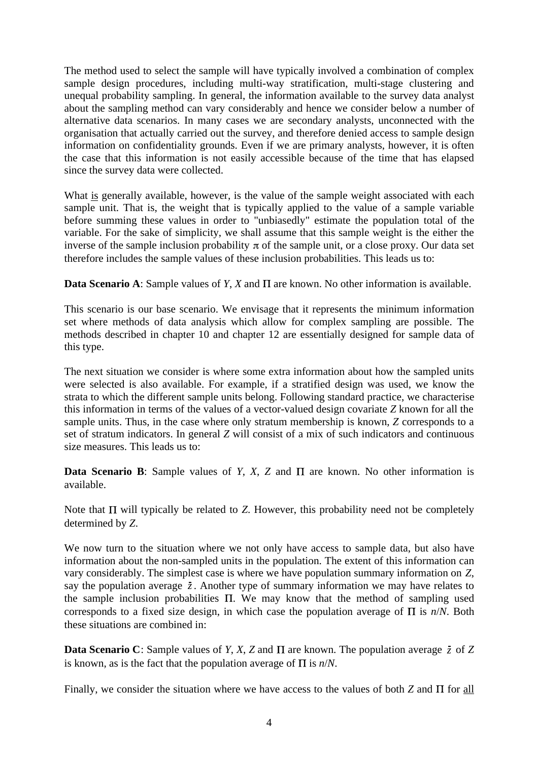The method used to select the sample will have typically involved a combination of complex sample design procedures, including multi-way stratification, multi-stage clustering and unequal probability sampling. In general, the information available to the survey data analyst about the sampling method can vary considerably and hence we consider below a number of alternative data scenarios. In many cases we are secondary analysts, unconnected with the organisation that actually carried out the survey, and therefore denied access to sample design information on confidentiality grounds. Even if we are primary analysts, however, it is often the case that this information is not easily accessible because of the time that has elapsed since the survey data were collected.

What is generally available, however, is the value of the sample weight associated with each sample unit. That is, the weight that is typically applied to the value of a sample variable before summing these values in order to "unbiasedly" estimate the population total of the variable. For the sake of simplicity, we shall assume that this sample weight is the either the inverse of the sample inclusion probability  $\pi$  of the sample unit, or a close proxy. Our data set therefore includes the sample values of these inclusion probabilities. This leads us to:

**Data Scenario A:** Sample values of *Y*, *X* and  $\Pi$  are known. No other information is available.

This scenario is our base scenario. We envisage that it represents the minimum information set where methods of data analysis which allow for complex sampling are possible. The methods described in chapter 10 and chapter 12 are essentially designed for sample data of this type.

The next situation we consider is where some extra information about how the sampled units were selected is also available. For example, if a stratified design was used, we know the strata to which the different sample units belong. Following standard practice, we characterise this information in terms of the values of a vector-valued design covariate *Z* known for all the sample units. Thus, in the case where only stratum membership is known, *Z* corresponds to a set of stratum indicators. In general *Z* will consist of a mix of such indicators and continuous size measures. This leads us to:

**Data Scenario B**: Sample values of *Y*, *X*, *Z* and  $\Pi$  are known. No other information is available.

Note that  $\Pi$  will typically be related to  $Z$ . However, this probability need not be completely determined by *Z*.

We now turn to the situation where we not only have access to sample data, but also have information about the non-sampled units in the population. The extent of this information can vary considerably. The simplest case is where we have population summary information on *Z*, say the population average  $\overline{z}$ . Another type of summary information we may have relates to the sample inclusion probabilities  $\Pi$ . We may know that the method of sampling used corresponds to a fixed size design, in which case the population average of  $\Pi$  is  $n/N$ . Both these situations are combined in:

**Data Scenario C**: Sample values of *Y*, *X*, *Z* and  $\Pi$  are known. The population average  $\bar{z}$  of *Z* is known, as is the fact that the population average of  $\Pi$  is  $n/N$ .

Finally, we consider the situation where we have access to the values of both  $Z$  and  $\Pi$  for all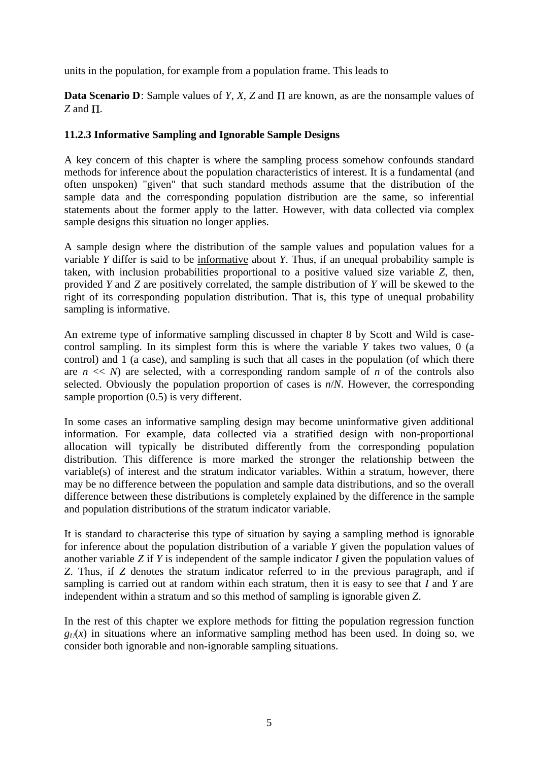units in the population, for example from a population frame. This leads to

**Data Scenario D**: Sample values of *Y*, *X*, *Z* and  $\Pi$  are known, as are the nonsample values of  $Z$  and  $\Pi$ .

# **11.2.3 Informative Sampling and Ignorable Sample Designs**

A key concern of this chapter is where the sampling process somehow confounds standard methods for inference about the population characteristics of interest. It is a fundamental (and often unspoken) "given" that such standard methods assume that the distribution of the sample data and the corresponding population distribution are the same, so inferential statements about the former apply to the latter. However, with data collected via complex sample designs this situation no longer applies.

A sample design where the distribution of the sample values and population values for a variable *Y* differ is said to be informative about *Y*. Thus, if an unequal probability sample is taken, with inclusion probabilities proportional to a positive valued size variable *Z*, then, provided *Y* and *Z* are positively correlated, the sample distribution of *Y* will be skewed to the right of its corresponding population distribution. That is, this type of unequal probability sampling is informative.

An extreme type of informative sampling discussed in chapter 8 by Scott and Wild is casecontrol sampling. In its simplest form this is where the variable *Y* takes two values, 0 (a control) and 1 (a case), and sampling is such that all cases in the population (of which there are  $n \ll N$ ) are selected, with a corresponding random sample of *n* of the controls also selected. Obviously the population proportion of cases is *n*/*N*. However, the corresponding sample proportion (0.5) is very different.

In some cases an informative sampling design may become uninformative given additional information. For example, data collected via a stratified design with non-proportional allocation will typically be distributed differently from the corresponding population distribution. This difference is more marked the stronger the relationship between the variable(s) of interest and the stratum indicator variables. Within a stratum, however, there may be no difference between the population and sample data distributions, and so the overall difference between these distributions is completely explained by the difference in the sample and population distributions of the stratum indicator variable.

It is standard to characterise this type of situation by saying a sampling method is ignorable for inference about the population distribution of a variable *Y* given the population values of another variable *Z* if *Y* is independent of the sample indicator *I* given the population values of *Z*. Thus, if *Z* denotes the stratum indicator referred to in the previous paragraph, and if sampling is carried out at random within each stratum, then it is easy to see that *I* and *Y* are independent within a stratum and so this method of sampling is ignorable given *Z*.

In the rest of this chapter we explore methods for fitting the population regression function  $g_U(x)$  in situations where an informative sampling method has been used. In doing so, we consider both ignorable and non-ignorable sampling situations.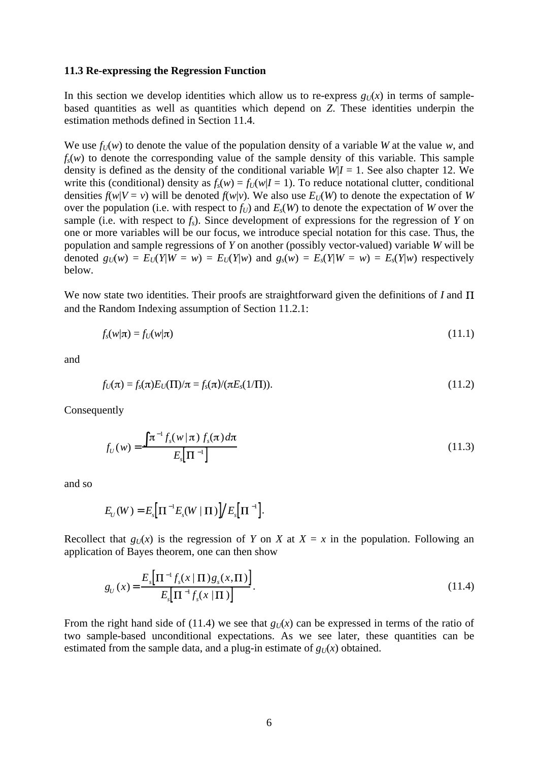#### **11.3 Re-expressing the Regression Function**

In this section we develop identities which allow us to re-express  $g_U(x)$  in terms of samplebased quantities as well as quantities which depend on *Z*. These identities underpin the estimation methods defined in Section 11.4.

We use  $f_U(w)$  to denote the value of the population density of a variable *W* at the value *w*, and  $f_s(w)$  to denote the corresponding value of the sample density of this variable. This sample density is defined as the density of the conditional variable  $W|I = 1$ . See also chapter 12. We write this (conditional) density as  $f_s(w) = f_U(w|I = 1)$ . To reduce notational clutter, conditional densities  $f(w|V = v)$  will be denoted  $f(w|v)$ . We also use  $E_U(W)$  to denote the expectation of W over the population (i.e. with respect to  $f_U$ ) and  $E_s(W)$  to denote the expectation of *W* over the sample (i.e. with respect to  $f_s$ ). Since development of expressions for the regression of *Y* on one or more variables will be our focus, we introduce special notation for this case. Thus, the population and sample regressions of *Y* on another (possibly vector-valued) variable *W* will be denoted  $g_U(w) = E_U(Y|W = w) = E_U(Y|w)$  and  $g_v(w) = E_v(Y|W = w) = E_v(Y|w)$  respectively below.

We now state two identities. Their proofs are straightforward given the definitions of  $I$  and  $\Pi$ and the Random Indexing assumption of Section 11.2.1:

$$
f_s(w|\pi) = f_U(w|\pi) \tag{11.1}
$$

and

$$
f_U(\pi) = f_s(\pi) E_U(\Pi)/\pi = f_s(\pi)/(\pi E_s(1/\Pi)).
$$
\n(11.2)

Consequently

$$
f_U(w) = \frac{\pi^{-1} f_s(w \mid \pi) f_s(\pi) d\pi}{E_s[\Pi^{-1}]} \tag{11.3}
$$

and so

$$
E_U(W)=E_s\Big[\Pi^{-1}E_s(W\mid\Pi)\Big]\Big/E_s\Big[\Pi^{-1}\Big].
$$

Recollect that  $g_U(x)$  is the regression of *Y* on *X* at  $X = x$  in the population. Following an application of Bayes theorem, one can then show

$$
g_U(x) = \frac{E_s[\Pi^{-1}f_s(x \mid \Pi)g_s(x,\Pi)]}{E_s[\Pi^{-1}f_s(x \mid \Pi)]}.
$$
\n(11.4)

From the right hand side of (11.4) we see that  $g_U(x)$  can be expressed in terms of the ratio of two sample-based unconditional expectations. As we see later, these quantities can be estimated from the sample data, and a plug-in estimate of  $g_U(x)$  obtained.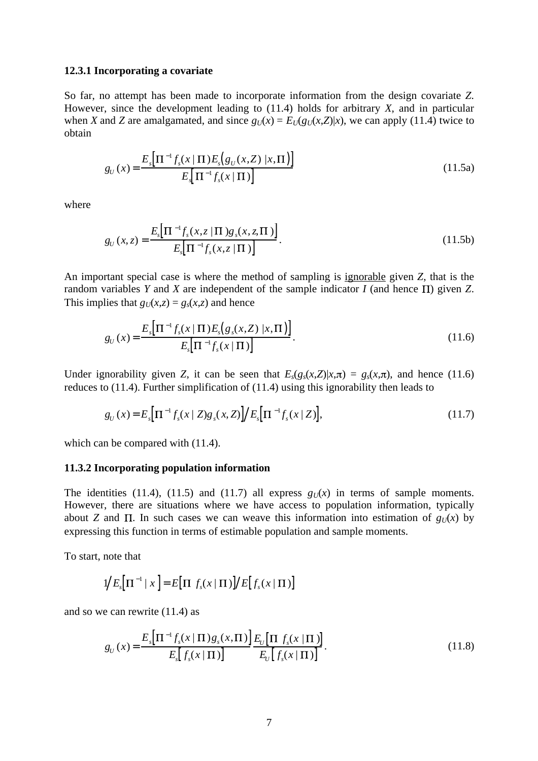#### **12.3.1 Incorporating a covariate**

So far, no attempt has been made to incorporate information from the design covariate *Z*. However, since the development leading to (11.4) holds for arbitrary *X*, and in particular when *X* and *Z* are amalgamated, and since  $g_U(x) = E_U(g_U(x,Z)|x)$ , we can apply (11.4) twice to obtain

$$
g_U(x) = \frac{E_s[\Pi^{-1}f_s(x \mid \Pi)E_s(g_U(x, Z) \mid x, \Pi)]}{E_s[\Pi^{-1}f_s(x \mid \Pi)]}
$$
(11.5a)

where

$$
g_U(x, z) = \frac{E_s[\Pi^{-1} f_s(x, z \mid \Pi) g_s(x, z, \Pi)]}{E_s[\Pi^{-1} f_s(x, z \mid \Pi)]}.
$$
\n(11.5b)

An important special case is where the method of sampling is ignorable given *Z*, that is the random variables *Y* and *X* are independent of the sample indicator *I* (and hence  $\Pi$ ) given *Z*. This implies that  $g_U(x,z) = g_s(x,z)$  and hence

$$
g_{U}(x) = \frac{E_{s} \left[ \Pi^{-1} f_{s}(x \mid \Pi) E_{s} \left( g_{s}(x, Z) \mid x, \Pi \right) \right]}{E_{s} \left[ \Pi^{-1} f_{s}(x \mid \Pi) \right]}.
$$
 (11.6)

Under ignorability given *Z*, it can be seen that  $E_s(g_s(x,Z)|x,\pi) = g_s(x,\pi)$ , and hence (11.6) reduces to (11.4). Further simplification of (11.4) using this ignorability then leads to

$$
g_U(x) = E_s \Big[ \Pi^{-1} f_s(x \mid Z) g_s(x, Z) \Big] / E_s \Big[ \Pi^{-1} f_s(x \mid Z) \Big], \tag{11.7}
$$

which can be compared with  $(11.4)$ .

#### **11.3.2 Incorporating population information**

The identities (11.4), (11.5) and (11.7) all express  $g_U(x)$  in terms of sample moments. However, there are situations where we have access to population information, typically about *Z* and  $\Pi$ . In such cases we can weave this information into estimation of  $g_U(x)$  by expressing this function in terms of estimable population and sample moments.

To start, note that

$$
\mathbf{1} \bigg/ E_s \bigg[ \Pi^{-1} | x \bigg] = E \bigg[ \Pi \, f_s(x \mid \Pi) \bigg] / E \big[ f_s(x \mid \Pi) \bigg]
$$

and so we can rewrite (11.4) as

$$
g_U(x) = \frac{E_s[\Pi^{-1}f_s(x \mid \Pi)g_s(x,\Pi)]}{E_s[f_s(x \mid \Pi)]} \frac{E_U[\Pi f_s(x \mid \Pi)]}{E_U[f_s(x \mid \Pi)]}.
$$
(11.8)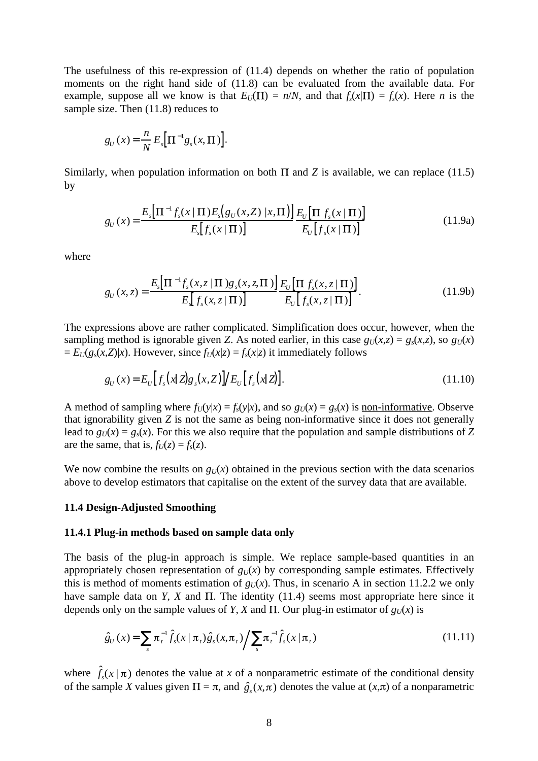The usefulness of this re-expression of (11.4) depends on whether the ratio of population moments on the right hand side of (11.8) can be evaluated from the available data. For example, suppose all we know is that  $E_U(\Pi) = n/N$ , and that  $f_s(x|\Pi) = f_s(x)$ . Here *n* is the sample size. Then  $(11.8)$  reduces to

$$
g_U(x) = \frac{n}{N} E_s \Big[ \Pi^{-1} g_s(x, \Pi) \Big].
$$

Similarly, when population information on both  $\Pi$  and  $Z$  is available, we can replace (11.5) by

$$
g_U(x) = \frac{E_s[\Pi^{-1}f_s(x \mid \Pi)E_s(g_U(x, Z) \mid x, \Pi)]}{E_s[f_s(x \mid \Pi)]} \frac{E_U[\Pi f_s(x \mid \Pi)]}{E_U[f_s(x \mid \Pi)]}
$$
(11.9a)

where

$$
g_U(x, z) = \frac{E_s[\Pi^{-1} f_s(x, z \mid \Pi) g_s(x, z, \Pi)]}{E_s[f_s(x, z \mid \Pi)]} \frac{E_U[\Pi f_s(x, z \mid \Pi)]}{E_U[f_s(x, z \mid \Pi)]}.
$$
(11.9b)

The expressions above are rather complicated. Simplification does occur, however, when the sampling method is ignorable given *Z*. As noted earlier, in this case  $g_U(x,z) = g_s(x,z)$ , so  $g_U(x)$  $E_{U}(g_s(x, Z)|x)$ . However, since  $f_U(x|z) = f_s(x|z)$  it immediately follows

$$
g_U(x) = E_U\left[f_s(x|Z)g_s(x,Z)\right] / E_U\left[f_s(x|Z)\right].
$$
\n(11.10)

A method of sampling where  $f_U(y|x) = f_s(y|x)$ , and so  $g_U(x) = g_s(x)$  is non-informative. Observe that ignorability given *Z* is not the same as being non-informative since it does not generally lead to  $g_U(x) = g_s(x)$ . For this we also require that the population and sample distributions of *Z* are the same, that is,  $f_U(z) = f_s(z)$ .

We now combine the results on  $g_U(x)$  obtained in the previous section with the data scenarios above to develop estimators that capitalise on the extent of the survey data that are available.

#### **11.4 Design-Adjusted Smoothing**

#### **11.4.1 Plug-in methods based on sample data only**

The basis of the plug-in approach is simple. We replace sample-based quantities in an appropriately chosen representation of  $g_U(x)$  by corresponding sample estimates. Effectively this is method of moments estimation of  $g_U(x)$ . Thus, in scenario A in section 11.2.2 we only have sample data on *Y*, *X* and  $\Pi$ . The identity (11.4) seems most appropriate here since it depends only on the sample values of *Y*, *X* and  $\Pi$ . Our plug-in estimator of  $g_U(x)$  is

$$
\hat{g}_U(x) = \pi_t^{-1} \hat{f}_s(x \mid \pi_t) \hat{g}_s(x, \pi_t) / \pi_t^{-1} \hat{f}_s(x \mid \pi_t)
$$
\n(11.11)

where  $\hat{f}_s(x | \pi)$  denotes the value at *x* of a nonparametric estimate of the conditional density of the sample *X* values given  $\Pi = \pi$ , and  $\hat{g}_s(x, \pi)$  denotes the value at  $(x, \pi)$  of a nonparametric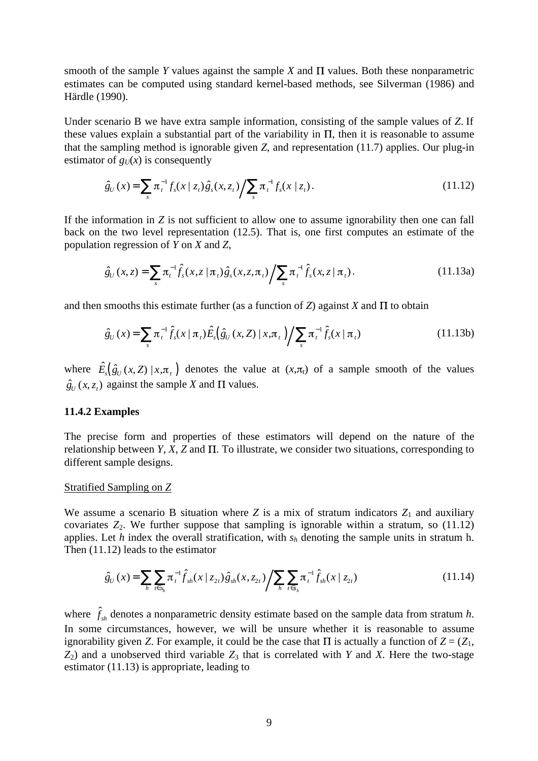smooth of the sample *Y* values against the sample *X* and  $\Pi$  values. Both these nonparametric estimates can be computed using standard kernel-based methods, see Silverman (1986) and Härdle (1990).

Under scenario B we have extra sample information, consisting of the sample values of *Z*. If these values explain a substantial part of the variability in  $\Pi$ , then it is reasonable to assume that the sampling method is ignorable given *Z*, and representation (11.7) applies. Our plug-in estimator of  $g_U(x)$  is consequently

$$
\hat{g}_U(x) = \pi_t^{-1} f_s(x \mid z_t) \hat{g}_s(x, z_t) / \pi_t^{-1} f_s(x \mid z_t).
$$
\n(11.12)

If the information in *Z* is not sufficient to allow one to assume ignorability then one can fall back on the two level representation (12.5). That is, one first computes an estimate of the population regression of *Y* on *X* and *Z*,

$$
\hat{g}_U(x,z) = \pi_t^{-1} \hat{f}_s(x,z \mid \pi_t) \hat{g}_s(x,z,\pi_t) / \pi_t^{-1} \hat{f}_s(x,z \mid \pi_t).
$$
 (11.13a)

and then smooths this estimate further (as a function of  $Z$ ) against  $X$  and  $\Pi$  to obtain

$$
\hat{g}_U(x) = \pi_t^{-1} \hat{f}_s(x \mid \pi_t) \hat{E}_s(\hat{g}_U(x, Z) \mid x, \pi_t) / \pi_t^{-1} \hat{f}_s(x \mid \pi_t)
$$
\n(11.13b)

where  $\hat{E}_s(\hat{g}_U(x, Z) | x, \pi)$  denotes the value at  $(x, \pi)$  of a sample smooth of the values  $\hat{g}_U(x, z_t)$  against the sample *X* and  $\Pi$  values.

### **11.4.2 Examples**

The precise form and properties of these estimators will depend on the nature of the relationship between  $Y$ ,  $X$ ,  $Z$  and  $\Pi$ . To illustrate, we consider two situations, corresponding to different sample designs.

### Stratified Sampling on *Z*

We assume a scenario B situation where  $Z$  is a mix of stratum indicators  $Z_1$  and auxiliary covariates  $Z_2$ . We further suppose that sampling is ignorable within a stratum, so  $(11.12)$ applies. Let *h* index the overall stratification, with *sh* denoting the sample units in stratum h. Then (11.12) leads to the estimator

*g* ˆ *<sup>U</sup>* (*x*) = *<sup>t</sup>* <sup>−</sup><sup>1</sup> <sup>ˆ</sup>*f sh*(*<sup>x</sup>* <sup>|</sup> *<sup>z</sup>*2*t*)*g* ˆ *sh*(*x*,*z*2*<sup>t</sup>* ) *t s<sup>h</sup> h t* <sup>−</sup><sup>1</sup> <sup>ˆ</sup>*f sh*(*<sup>x</sup>* <sup>|</sup> *<sup>z</sup>*2*t*) *t s<sup>h</sup> h* (11.14)

where  $\hat{f}_{sh}$  denotes a nonparametric density estimate based on the sample data from stratum *h*. In some circumstances, however, we will be unsure whether it is reasonable to assume ignorability given *Z*. For example, it could be the case that  $\Pi$  is actually a function of  $Z = (Z_1, Z_2, Z_3)$  $Z_2$ ) and a unobserved third variable  $Z_3$  that is correlated with *Y* and *X*. Here the two-stage estimator (11.13) is appropriate, leading to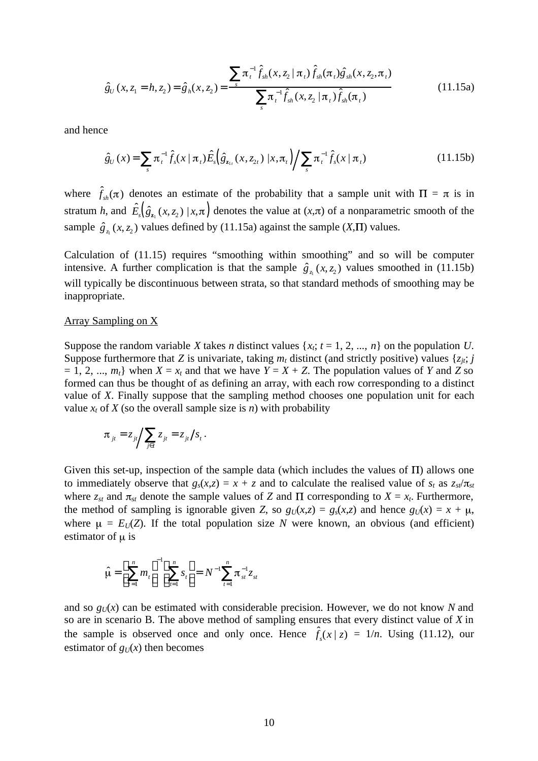$$
\hat{g}_{U}(x, z_{1} = h, z_{2}) = \hat{g}_{h}(x, z_{2}) = \frac{\pi_{t}^{-1} \hat{f}_{sh}(x, z_{2} | \pi_{t}) \hat{f}_{sh}(\pi_{t}) \hat{g}_{sh}(x, z_{2}, \pi_{t})}{\pi_{t}^{-1} \hat{f}_{sh}(x, z_{2} | \pi_{t}) \hat{f}_{sh}(\pi_{t})}
$$
(11.15a)

and hence

$$
\hat{g}_{U}(x) = \pi_{t}^{-1} \hat{f}_{s}(x \mid \pi_{t}) \hat{E}_{s} \left( \hat{g}_{z_{1t}}(x, z_{2t}) \mid x, \pi_{t} \right) / \pi_{t}^{-1} \hat{f}_{s}(x \mid \pi_{t}) \tag{11.15b}
$$

where  $\hat{f}_{sh}(\pi)$  denotes an estimate of the probability that a sample unit with  $\Pi = \pi$  is in stratum *h*, and  $\hat{E}_s(\hat{g}_{z_1}(x, z_2) | x, \pi)$  denotes the value at  $(x, \pi)$  of a nonparametric smooth of the sample  $\hat{g}_a(x, z_2)$  values defined by (11.15a) against the sample (*X*, II) values.

Calculation of (11.15) requires "smoothing within smoothing" and so will be computer intensive. A further complication is that the sample  $\hat{g}_a(x, z_2)$  values smoothed in (11.15b) will typically be discontinuous between strata, so that standard methods of smoothing may be inappropriate.

### Array Sampling on X

Suppose the random variable *X* takes *n* distinct values  $\{x_i; t = 1, 2, ..., n\}$  on the population *U*. Suppose furthermore that *Z* is univariate, taking  $m_t$  distinct (and strictly positive) values  $\{z_{it}, j\}$  $X = \{1, 2, ..., m_t\}$  when  $X = x_t$  and that we have  $Y = X + Z$ . The population values of Y and Z so formed can thus be thought of as defining an array, with each row corresponding to a distinct value of *X*. Finally suppose that the sampling method chooses one population unit for each value  $x_t$  of X (so the overall sample size is *n*) with probability

$$
\pi_{jt} = z_{jt} / \sum_{j \ t} z_{jt} = z_{jt} / s_t.
$$

Given this set-up, inspection of the sample data (which includes the values of  $\Pi$ ) allows one to immediately observe that  $g_s(x, z) = x + z$  and to calculate the realised value of  $s_t$  as  $z_{st}/\pi_{st}$ where  $z_{st}$  and  $\pi_{st}$  denote the sample values of *Z* and  $\Pi$  corresponding to  $X = x_t$ . Furthermore, the method of sampling is ignorable given *Z*, so  $g_U(x,z) = g_s(x,z)$  and hence  $g_U(x) = x + \mu$ , where  $\mu = E_U(Z)$ . If the total population size *N* were known, an obvious (and efficient) estimator of  $\mu$  is

$$
\hat{\mu} = \sum_{t=1}^{n} m_t \sum_{t=1}^{n} s_t = N^{-1} \sum_{t=1}^{n} \pi_{st}^{-1} z_{st}
$$

and so  $g_U(x)$  can be estimated with considerable precision. However, we do not know N and so are in scenario B. The above method of sampling ensures that every distinct value of *X* in the sample is observed once and only once. Hence  $\hat{f}_s(x \mid z) = 1/n$ . Using (11.12), our estimator of  $g_U(x)$  then becomes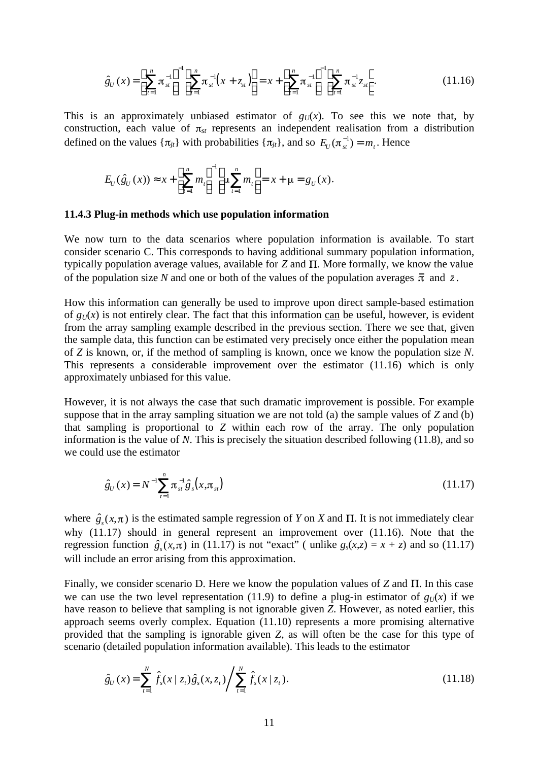$$
\hat{g}_U(x) = \sum_{t=1}^n \pi_{st}^{-1} \frac{1}{\pi_{st}^{-1}} \pi_{st}^{-1}(x + z_{st}) = x + \sum_{t=1}^n \pi_{st}^{-1} \frac{1}{\pi_{st}^{-1}} \pi_{st}^{-1} z_{st}.
$$
 (11.16)

This is an approximately unbiased estimator of  $g_U(x)$ . To see this we note that, by construction, each value of  $\pi_{st}$  represents an independent realisation from a distribution defined on the values  $\{\pi_{jt}\}\$  with probabilities  $\{\pi_{jt}\}\$ , and so  $E_U(\pi_{st}^{-1}) = m_t$ . Hence

$$
E_U(\hat{g}_U(x)) \quad x + \sum_{t=1}^n m_t + \mu \sum_{t=1}^n m_t = x + \mu = g_U(x).
$$

#### **11.4.3 Plug-in methods which use population information**

We now turn to the data scenarios where population information is available. To start consider scenario C. This corresponds to having additional summary population information, typically population average values, available for  $Z$  and  $\Pi$ . More formally, we know the value of the population size *N* and one or both of the values of the population averages  $\bar{\pi}$  and  $\bar{z}$ .

How this information can generally be used to improve upon direct sample-based estimation of  $g_U(x)$  is not entirely clear. The fact that this information can be useful, however, is evident from the array sampling example described in the previous section. There we see that, given the sample data, this function can be estimated very precisely once either the population mean of *Z* is known, or, if the method of sampling is known, once we know the population size *N*. This represents a considerable improvement over the estimator (11.16) which is only approximately unbiased for this value.

However, it is not always the case that such dramatic improvement is possible. For example suppose that in the array sampling situation we are not told (a) the sample values of *Z* and (b) that sampling is proportional to *Z* within each row of the array. The only population information is the value of *N*. This is precisely the situation described following (11.8), and so we could use the estimator

$$
\hat{g}_{U}(x) = N^{-1} \prod_{t=1}^{n} \pi_{st}^{-1} \hat{g}_{s}(x, \pi_{st})
$$
\n(11.17)

where  $\hat{g}_s(x, \pi)$  is the estimated sample regression of *Y* on *X* and  $\Pi$ . It is not immediately clear why (11.17) should in general represent an improvement over (11.16). Note that the regression function  $\hat{g}_s(x,\pi)$  in (11.17) is not "exact" ( unlike  $g_s(x,z) = x + z$ ) and so (11.17) will include an error arising from this approximation.

Finally, we consider scenario D. Here we know the population values of  $Z$  and  $\Pi$ . In this case we can use the two level representation (11.9) to define a plug-in estimator of  $g_U(x)$  if we have reason to believe that sampling is not ignorable given *Z*. However, as noted earlier, this approach seems overly complex. Equation (11.10) represents a more promising alternative provided that the sampling is ignorable given *Z*, as will often be the case for this type of scenario (detailed population information available). This leads to the estimator

$$
\hat{g}_U(x) = \int_{t=1}^N \hat{f}_s(x \mid z_t) \hat{g}_s(x, z_t) / \int_{t=1}^N \hat{f}_s(x \mid z_t).
$$
\n(11.18)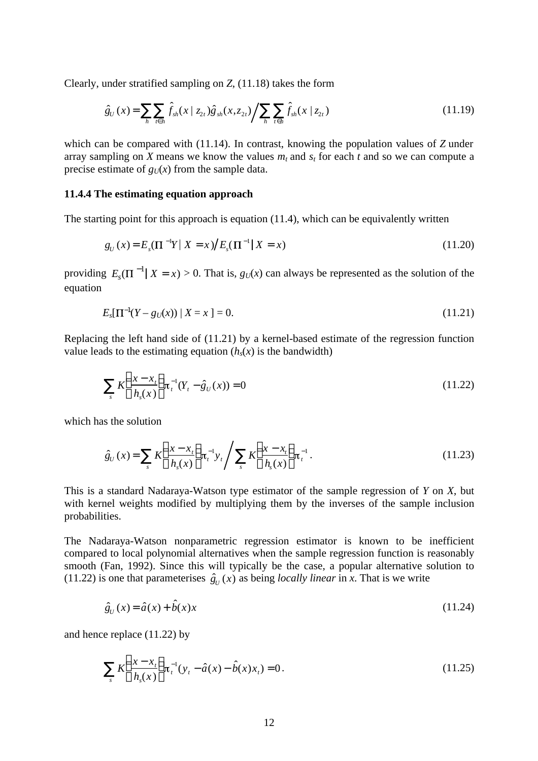Clearly, under stratified sampling on *Z*, (11.18) takes the form

$$
\hat{g}_U(x) = \frac{\hat{f}_{sh}(x \mid z_{2t}) \hat{g}_{sh}(x, z_{2t})}{h + h} \int_{h + t + h} \hat{f}_{sh}(x \mid z_{2t}) \tag{11.19}
$$

which can be compared with (11.14). In contrast, knowing the population values of *Z* under array sampling on *X* means we know the values *mt* and *st* for each *t* and so we can compute a precise estimate of  $g_U(x)$  from the sample data.

### **11.4.4 The estimating equation approach**

The starting point for this approach is equation (11.4), which can be equivalently written

$$
g_U(x) = E_s(\Pi^{-1}Y \mid X = x) / E_s(\Pi^{-1} \mid X = x)
$$
\n(11.20)

providing  $E_s(\Pi^{-1} | X = x) > 0$ . That is,  $g_U(x)$  can always be represented as the solution of the equation

$$
E_s[\Pi^{-1}(Y - g_U(x)) \mid X = x] = 0.
$$
\n(11.21)

Replacing the left hand side of (11.21) by a kernel-based estimate of the regression function value leads to the estimating equation  $(h_s(x))$  is the bandwidth)

$$
K \frac{x - x_t}{h_s(x)} \pi_t^{-1} (Y_t - \hat{g}_U(x)) = 0
$$
\n(11.22)

which has the solution

*s*

$$
\hat{g}_U(x) = \frac{K}{s} \frac{x - x_t}{h_s(x)} \pi_t^{-1} y_t / \int_{s}^{1} K \frac{x - x_t}{h_s(x)} \pi_t^{-1}.
$$
\n(11.23)

This is a standard Nadaraya-Watson type estimator of the sample regression of *Y* on *X*, but with kernel weights modified by multiplying them by the inverses of the sample inclusion probabilities.

The Nadaraya-Watson nonparametric regression estimator is known to be inefficient compared to local polynomial alternatives when the sample regression function is reasonably smooth (Fan, 1992). Since this will typically be the case, a popular alternative solution to (11.22) is one that parameterises  $\hat{g}_U(x)$  as being *locally linear* in *x*. That is we write

$$
\hat{g}_U(x) = \hat{a}(x) + \hat{b}(x)x\tag{11.24}
$$

and hence replace (11.22) by

$$
K \frac{x - x_t}{h_s(x)} \pi_t^{-1}(y_t - \hat{a}(x) - \hat{b}(x)x_t) = 0.
$$
 (11.25)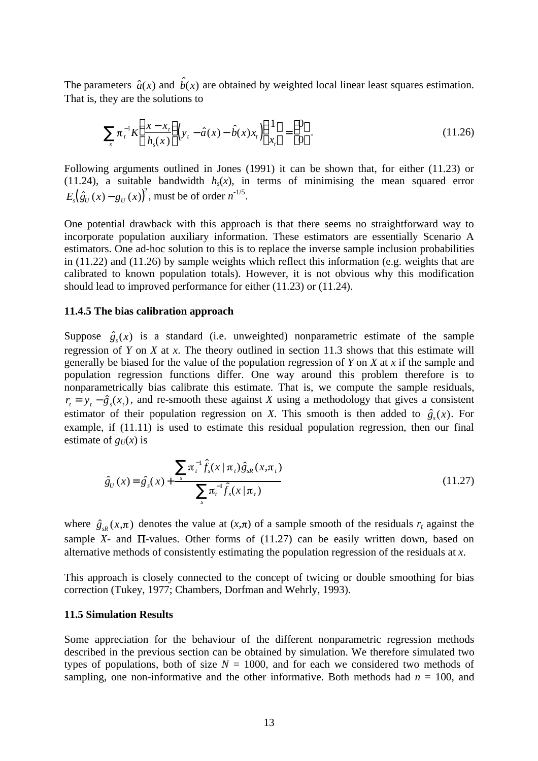The parameters  $\hat{a}(x)$  and  $\hat{b}(x)$  are obtained by weighted local linear least squares estimation. That is, they are the solutions to

$$
\pi_t^{-1} K \frac{x - x_t}{h_s(x)} \left( y_t - \hat{a}(x) - \hat{b}(x) x_t \right) \frac{1}{x_t} = \frac{0}{0} \tag{11.26}
$$

Following arguments outlined in Jones (1991) it can be shown that, for either (11.23) or (11.24), a suitable bandwidth  $h<sub>s</sub>(x)$ , in terms of minimising the mean squared error  $E_s(\hat{g}_U(x) - g_U(x))^2$ , must be of order  $n^{-1/5}$ .

One potential drawback with this approach is that there seems no straightforward way to incorporate population auxiliary information. These estimators are essentially Scenario A estimators. One ad-hoc solution to this is to replace the inverse sample inclusion probabilities in (11.22) and (11.26) by sample weights which reflect this information (e.g. weights that are calibrated to known population totals). However, it is not obvious why this modification should lead to improved performance for either (11.23) or (11.24).

#### **11.4.5 The bias calibration approach**

Suppose  $\hat{g}_s(x)$  is a standard (i.e. unweighted) nonparametric estimate of the sample regression of *Y* on *X* at *x*. The theory outlined in section 11.3 shows that this estimate will generally be biased for the value of the population regression of *Y* on *X* at *x* if the sample and population regression functions differ. One way around this problem therefore is to nonparametrically bias calibrate this estimate. That is, we compute the sample residuals,  $r_t = y_t - \hat{g}_s(x_t)$ , and re-smooth these against *X* using a methodology that gives a consistent estimator of their population regression on *X*. This smooth is then added to  $\hat{g}_s(x)$ . For example, if (11.11) is used to estimate this residual population regression, then our final estimate of  $g_U(x)$  is

$$
\hat{g}_U(x) = \hat{g}_s(x) + \frac{\pi_t^{-1} \hat{f}_s(x \mid \pi_t) \hat{g}_{sR}(x, \pi_t)}{\pi_t^{-1} \hat{f}_s(x \mid \pi_t)}
$$
(11.27)

where  $\hat{g}_{sR}(x,\pi)$  denotes the value at  $(x,\pi)$  of a sample smooth of the residuals  $r_t$  against the sample  $X$ - and  $\Pi$ -values. Other forms of  $(11.27)$  can be easily written down, based on alternative methods of consistently estimating the population regression of the residuals at *x*.

This approach is closely connected to the concept of twicing or double smoothing for bias correction (Tukey, 1977; Chambers, Dorfman and Wehrly, 1993).

#### **11.5 Simulation Results**

Some appreciation for the behaviour of the different nonparametric regression methods described in the previous section can be obtained by simulation. We therefore simulated two types of populations, both of size  $N = 1000$ , and for each we considered two methods of sampling, one non-informative and the other informative. Both methods had  $n = 100$ , and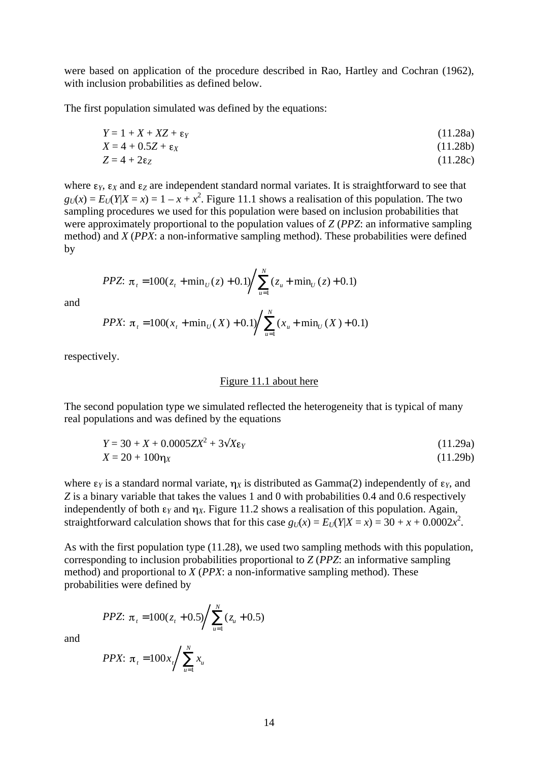were based on application of the procedure described in Rao, Hartley and Cochran (1962), with inclusion probabilities as defined below.

The first population simulated was defined by the equations:

$$
Y = 1 + X + XZ + \varepsilon_Y
$$
  
(11.28a)  

$$
X = 4 + 0.5Z + \varepsilon_X
$$
  
(11.28b)

$$
Z = 4 + 2\varepsilon_Z \tag{11.28c}
$$

where  $\epsilon_Y$ ,  $\epsilon_X$  and  $\epsilon_Z$  are independent standard normal variates. It is straightforward to see that  $g_U(x) = E_U(Y|X = x) = 1 - x + x^2$ . Figure 11.1 shows a realisation of this population. The two sampling procedures we used for this population were based on inclusion probabilities that were approximately proportional to the population values of *Z* (*PPZ*: an informative sampling method) and *X* (*PPX*: a non-informative sampling method). These probabilities were defined by

*PPZ*: 
$$
\pi_t = 100(z_t + \min_U(z) + 0.1) / \int_{u=1}^{N} (z_u + \min_U(z) + 0.1)
$$

and

*PPX*: 
$$
\pi_t = 100(x_t + \min_U(X) + 0.1) / \int_{u=1}^{N} (x_u + \min_U(X) + 0.1)
$$

respectively.

### Figure 11.1 about here

The second population type we simulated reflected the heterogeneity that is typical of many real populations and was defined by the equations

$$
Y = 30 + X + 0.0005ZX^{2} + 3 \tX\varepsilon_{Y}
$$
\n
$$
X = 20 + 100\eta_{X}
$$
\n(11.29a)\n(11.29b)

where  $\epsilon_y$  is a standard normal variate,  $\eta_x$  is distributed as Gamma(2) independently of  $\epsilon_y$ , and *Z* is a binary variable that takes the values 1 and 0 with probabilities 0.4 and 0.6 respectively independently of both  $\epsilon_Y$  and  $\eta_X$ . Figure 11.2 shows a realisation of this population. Again, straightforward calculation shows that for this case  $g_U(x) = E_U(Y|X=x) = 30 + x + 0.0002x^2$ .

As with the first population type (11.28), we used two sampling methods with this population, corresponding to inclusion probabilities proportional to *Z* (*PPZ*: an informative sampling method) and proportional to *X* (*PPX*: a non-informative sampling method). These probabilities were defined by

*PPZ*: π<sub>t</sub> = 100(z<sub>t</sub> + 0.5) / 
$$
\sum_{u=1}^{N}
$$
 (z<sub>u</sub> + 0.5)

and

*PPX*: 
$$
\pi_t = 100x_t / \int_{u=1}^{N} x_u
$$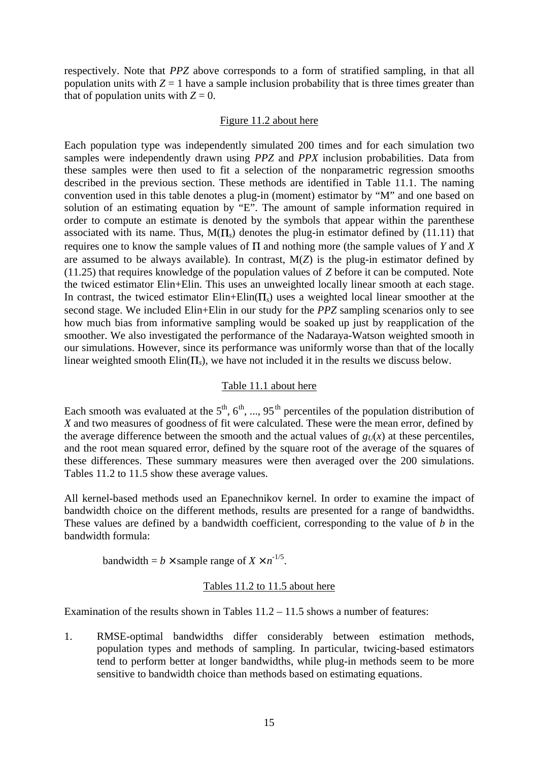respectively. Note that *PPZ* above corresponds to a form of stratified sampling, in that all population units with  $Z = 1$  have a sample inclusion probability that is three times greater than that of population units with  $Z = 0$ .

### Figure 11.2 about here

Each population type was independently simulated 200 times and for each simulation two samples were independently drawn using *PPZ* and *PPX* inclusion probabilities. Data from these samples were then used to fit a selection of the nonparametric regression smooths described in the previous section. These methods are identified in Table 11.1. The naming convention used in this table denotes a plug-in (moment) estimator by "M" and one based on solution of an estimating equation by "E". The amount of sample information required in order to compute an estimate is denoted by the symbols that appear within the parenthese associated with its name. Thus,  $M(\Pi_s)$  denotes the plug-in estimator defined by (11.11) that requires one to know the sample values of  $\Pi$  and nothing more (the sample values of *Y* and *X* are assumed to be always available). In contrast, M(*Z*) is the plug-in estimator defined by (11.25) that requires knowledge of the population values of *Z* before it can be computed. Note the twiced estimator Elin+Elin. This uses an unweighted locally linear smooth at each stage. In contrast, the twiced estimator  $Elin + Elin(\Pi_s)$  uses a weighted local linear smoother at the second stage. We included Elin+Elin in our study for the *PPZ* sampling scenarios only to see how much bias from informative sampling would be soaked up just by reapplication of the smoother. We also investigated the performance of the Nadaraya-Watson weighted smooth in our simulations. However, since its performance was uniformly worse than that of the locally linear weighted smooth  $\text{Elin}(\Pi_s)$ , we have not included it in the results we discuss below.

### Table 11.1 about here

Each smooth was evaluated at the  $5<sup>th</sup>$ ,  $6<sup>th</sup>$ , ..., 95<sup>th</sup> percentiles of the population distribution of *X* and two measures of goodness of fit were calculated. These were the mean error, defined by the average difference between the smooth and the actual values of  $g_U(x)$  at these percentiles, and the root mean squared error, defined by the square root of the average of the squares of these differences. These summary measures were then averaged over the 200 simulations. Tables 11.2 to 11.5 show these average values.

All kernel-based methods used an Epanechnikov kernel. In order to examine the impact of bandwidth choice on the different methods, results are presented for a range of bandwidths. These values are defined by a bandwidth coefficient, corresponding to the value of *b* in the bandwidth formula:

bandwidth =  $b \times$  sample range of  $X \times n^{-1/5}$ .

## Tables 11.2 to 11.5 about here

Examination of the results shown in Tables  $11.2 - 11.5$  shows a number of features:

1. RMSE-optimal bandwidths differ considerably between estimation methods, population types and methods of sampling. In particular, twicing-based estimators tend to perform better at longer bandwidths, while plug-in methods seem to be more sensitive to bandwidth choice than methods based on estimating equations.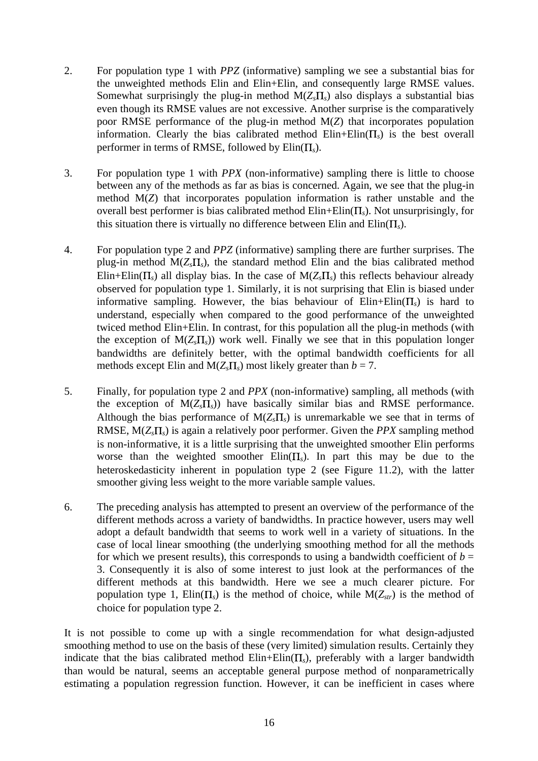- 2. For population type 1 with *PPZ* (informative) sampling we see a substantial bias for the unweighted methods Elin and Elin+Elin, and consequently large RMSE values. Somewhat surprisingly the plug-in method  $M(Z<sub>s</sub> \Pi<sub>s</sub>)$  also displays a substantial bias even though its RMSE values are not excessive. Another surprise is the comparatively poor RMSE performance of the plug-in method M(*Z*) that incorporates population information. Clearly the bias calibrated method  $Elin+Elin(\Pi_s)$  is the best overall performer in terms of RMSE, followed by  $Elin(\Pi_s)$ .
- 3. For population type 1 with *PPX* (non-informative) sampling there is little to choose between any of the methods as far as bias is concerned. Again, we see that the plug-in method M(*Z*) that incorporates population information is rather unstable and the overall best performer is bias calibrated method  $Elin+Elin(\Pi_s)$ . Not unsurprisingly, for this situation there is virtually no difference between Elin and  $\text{Elin}(\Pi_s)$ .
- 4. For population type 2 and *PPZ* (informative) sampling there are further surprises. The plug-in method  $M(Z<sub>s</sub>\Pi<sub>s</sub>)$ , the standard method Elin and the bias calibrated method  $E\text{lin}+E\text{lin}(\Pi_s)$  all display bias. In the case of  $M(Z_s\Pi_s)$  this reflects behaviour already observed for population type 1. Similarly, it is not surprising that Elin is biased under informative sampling. However, the bias behaviour of  $Elin+Elin(\Pi_s)$  is hard to understand, especially when compared to the good performance of the unweighted twiced method Elin+Elin. In contrast, for this population all the plug-in methods (with the exception of  $M(Z_s\Pi_s)$ ) work well. Finally we see that in this population longer bandwidths are definitely better, with the optimal bandwidth coefficients for all methods except Elin and  $M(Z,\Pi_s)$  most likely greater than  $b = 7$ .
- 5. Finally, for population type 2 and *PPX* (non-informative) sampling, all methods (with the exception of  $M(Z_s\Pi_s)$ ) have basically similar bias and RMSE performance. Although the bias performance of  $M(Z<sub>s</sub>\Pi<sub>s</sub>)$  is unremarkable we see that in terms of RMSE,  $M(Z<sub>s</sub>II<sub>s</sub>)$  is again a relatively poor performer. Given the *PPX* sampling method is non-informative, it is a little surprising that the unweighted smoother Elin performs worse than the weighted smoother  $\text{Elin}(\Pi_s)$ . In part this may be due to the heteroskedasticity inherent in population type 2 (see Figure 11.2), with the latter smoother giving less weight to the more variable sample values.
- 6. The preceding analysis has attempted to present an overview of the performance of the different methods across a variety of bandwidths. In practice however, users may well adopt a default bandwidth that seems to work well in a variety of situations. In the case of local linear smoothing (the underlying smoothing method for all the methods for which we present results), this corresponds to using a bandwidth coefficient of  $b =$ 3. Consequently it is also of some interest to just look at the performances of the different methods at this bandwidth. Here we see a much clearer picture. For population type 1,  $\text{Elin}(\Pi_s)$  is the method of choice, while  $M(Z_{str})$  is the method of choice for population type 2.

It is not possible to come up with a single recommendation for what design-adjusted smoothing method to use on the basis of these (very limited) simulation results. Certainly they indicate that the bias calibrated method  $\text{Elin}+\text{Elin}(\Pi_s)$ , preferably with a larger bandwidth than would be natural, seems an acceptable general purpose method of nonparametrically estimating a population regression function. However, it can be inefficient in cases where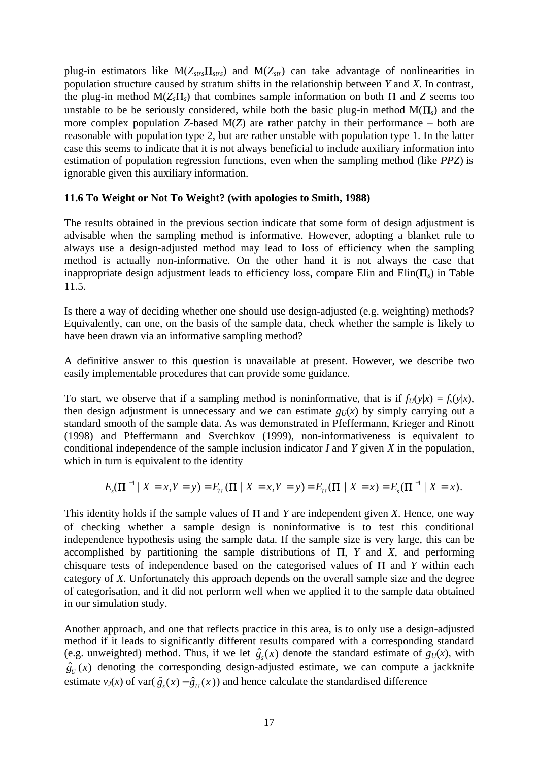plug-in estimators like  $M(Z_{strs} \Pi_{strs})$  and  $M(Z_{str})$  can take advantage of nonlinearities in population structure caused by stratum shifts in the relationship between *Y* and *X*. In contrast, the plug-in method  $M(Z_s\Pi_s)$  that combines sample information on both  $\Pi$  and  $Z$  seems too unstable to be be seriously considered, while both the basic plug-in method  $M(\Pi_s)$  and the more complex population *Z*-based M(*Z*) are rather patchy in their performance – both are reasonable with population type 2, but are rather unstable with population type 1. In the latter case this seems to indicate that it is not always beneficial to include auxiliary information into estimation of population regression functions, even when the sampling method (like *PPZ*) is ignorable given this auxiliary information.

## **11.6 To Weight or Not To Weight? (with apologies to Smith, 1988)**

The results obtained in the previous section indicate that some form of design adjustment is advisable when the sampling method is informative. However, adopting a blanket rule to always use a design-adjusted method may lead to loss of efficiency when the sampling method is actually non-informative. On the other hand it is not always the case that inappropriate design adjustment leads to efficiency loss, compare Elin and  $\text{Elin}(\Pi_s)$  in Table 11.5.

Is there a way of deciding whether one should use design-adjusted (e.g. weighting) methods? Equivalently, can one, on the basis of the sample data, check whether the sample is likely to have been drawn via an informative sampling method?

A definitive answer to this question is unavailable at present. However, we describe two easily implementable procedures that can provide some guidance.

To start, we observe that if a sampling method is noninformative, that is if  $f_U(y|x) = f_s(y|x)$ , then design adjustment is unnecessary and we can estimate  $g_U(x)$  by simply carrying out a standard smooth of the sample data. As was demonstrated in Pfeffermann, Krieger and Rinott (1998) and Pfeffermann and Sverchkov (1999), non-informativeness is equivalent to conditional independence of the sample inclusion indicator *I* and *Y* given *X* in the population, which in turn is equivalent to the identity

$$
E_s(\Pi^{-1} | X = x, Y = y) = E_U(\Pi | X = x, Y = y) = E_U(\Pi | X = x) = E_s(\Pi^{-1} | X = x).
$$

This identity holds if the sample values of  $\Pi$  and  $Y$  are independent given  $X$ . Hence, one way of checking whether a sample design is noninformative is to test this conditional independence hypothesis using the sample data. If the sample size is very large, this can be accomplished by partitioning the sample distributions of  $\Pi$ ,  $Y$  and  $X$ , and performing chisquare tests of independence based on the categorised values of  $\Pi$  and  $Y$  within each category of *X*. Unfortunately this approach depends on the overall sample size and the degree of categorisation, and it did not perform well when we applied it to the sample data obtained in our simulation study.

Another approach, and one that reflects practice in this area, is to only use a design-adjusted method if it leads to significantly different results compared with a corresponding standard (e.g. unweighted) method. Thus, if we let  $\hat{g}_s(x)$  denote the standard estimate of  $g_U(x)$ , with  $\hat{g}_U(x)$  denoting the corresponding design-adjusted estimate, we can compute a jackknife estimate  $v_J(x)$  of var( $\hat{g}_s(x) - \hat{g}_U(x)$ ) and hence calculate the standardised difference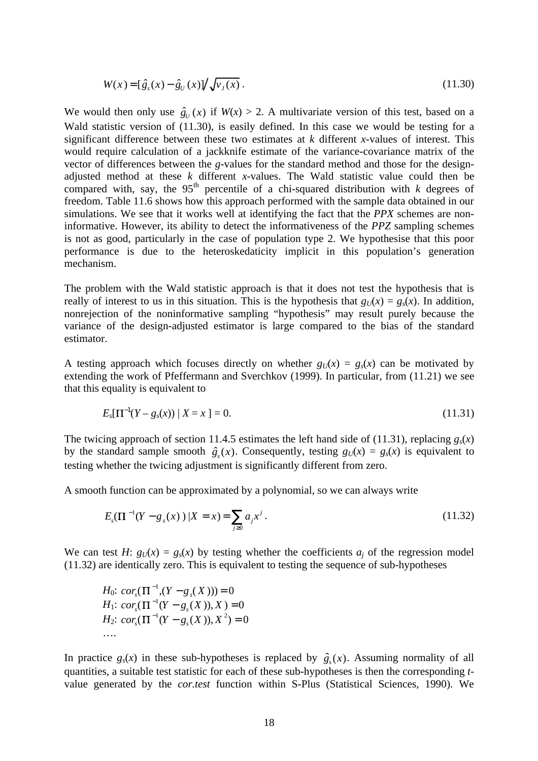$$
W(x) = [\hat{g}_s(x) - \hat{g}_U(x)] / \sqrt{v_J(x)}.
$$
\n(11.30)

We would then only use  $\hat{g}_U(x)$  if  $W(x) > 2$ . A multivariate version of this test, based on a Wald statistic version of (11.30), is easily defined. In this case we would be testing for a significant difference between these two estimates at *k* different *x*-values of interest. This would require calculation of a jackknife estimate of the variance-covariance matrix of the vector of differences between the *g*-values for the standard method and those for the designadjusted method at these *k* different *x*-values. The Wald statistic value could then be compared with, say, the  $95<sup>th</sup>$  percentile of a chi-squared distribution with *k* degrees of freedom. Table 11.6 shows how this approach performed with the sample data obtained in our simulations. We see that it works well at identifying the fact that the *PPX* schemes are noninformative. However, its ability to detect the informativeness of the *PPZ* sampling schemes is not as good, particularly in the case of population type 2. We hypothesise that this poor performance is due to the heteroskedaticity implicit in this population's generation mechanism.

The problem with the Wald statistic approach is that it does not test the hypothesis that is really of interest to us in this situation. This is the hypothesis that  $g_U(x) = g_s(x)$ . In addition, nonrejection of the noninformative sampling "hypothesis" may result purely because the variance of the design-adjusted estimator is large compared to the bias of the standard estimator.

A testing approach which focuses directly on whether  $g_U(x) = g_s(x)$  can be motivated by extending the work of Pfeffermann and Sverchkov (1999). In particular, from (11.21) we see that this equality is equivalent to

$$
E_s[\Pi^{-1}(Y - g_s(x)) \mid X = x] = 0. \tag{11.31}
$$

The twicing approach of section 11.4.5 estimates the left hand side of (11.31), replacing  $g_s(x)$ by the standard sample smooth  $\hat{g}_s(x)$ . Consequently, testing  $g_U(x) = g_s(x)$  is equivalent to testing whether the twicing adjustment is significantly different from zero.

A smooth function can be approximated by a polynomial, so we can always write

$$
E_s(\Pi^{-1}(Y - g_s(x)) | X = x) = a_j x^j.
$$
\n(11.32)

We can test *H*:  $g_U(x) = g_s(x)$  by testing whether the coefficients  $a_i$  of the regression model (11.32) are identically zero. This is equivalent to testing the sequence of sub-hypotheses

*H*<sub>0</sub>: 
$$
cor_s(\Pi^{-1}, (Y - g_s(X))) = 0
$$
  
\n*H*<sub>1</sub>:  $cor_s(\Pi^{-1}(Y - g_s(X)), X) = 0$   
\n*H*<sub>2</sub>:  $cor_s(\Pi^{-1}(Y - g_s(X)), X^2) = 0$   
\n...

In practice  $g_s(x)$  in these sub-hypotheses is replaced by  $\hat{g}_s(x)$ . Assuming normality of all quantities, a suitable test statistic for each of these sub-hypotheses is then the corresponding *t*value generated by the *cor.test* function within S-Plus (Statistical Sciences, 1990). We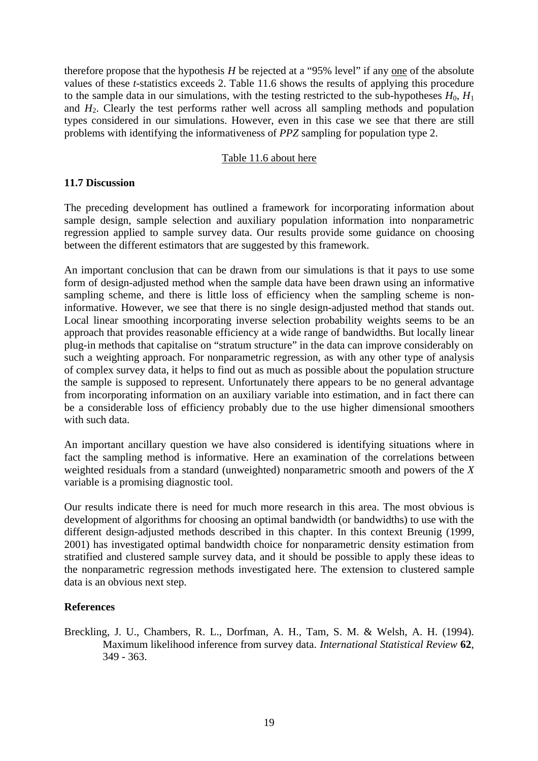therefore propose that the hypothesis *H* be rejected at a "95% level" if any one of the absolute values of these *t*-statistics exceeds 2. Table 11.6 shows the results of applying this procedure to the sample data in our simulations, with the testing restricted to the sub-hypotheses  $H_0$ ,  $H_1$ and *H*2. Clearly the test performs rather well across all sampling methods and population types considered in our simulations. However, even in this case we see that there are still problems with identifying the informativeness of *PPZ* sampling for population type 2.

# Table 11.6 about here

## **11.7 Discussion**

The preceding development has outlined a framework for incorporating information about sample design, sample selection and auxiliary population information into nonparametric regression applied to sample survey data. Our results provide some guidance on choosing between the different estimators that are suggested by this framework.

An important conclusion that can be drawn from our simulations is that it pays to use some form of design-adjusted method when the sample data have been drawn using an informative sampling scheme, and there is little loss of efficiency when the sampling scheme is noninformative. However, we see that there is no single design-adjusted method that stands out. Local linear smoothing incorporating inverse selection probability weights seems to be an approach that provides reasonable efficiency at a wide range of bandwidths. But locally linear plug-in methods that capitalise on "stratum structure" in the data can improve considerably on such a weighting approach. For nonparametric regression, as with any other type of analysis of complex survey data, it helps to find out as much as possible about the population structure the sample is supposed to represent. Unfortunately there appears to be no general advantage from incorporating information on an auxiliary variable into estimation, and in fact there can be a considerable loss of efficiency probably due to the use higher dimensional smoothers with such data.

An important ancillary question we have also considered is identifying situations where in fact the sampling method is informative. Here an examination of the correlations between weighted residuals from a standard (unweighted) nonparametric smooth and powers of the *X* variable is a promising diagnostic tool.

Our results indicate there is need for much more research in this area. The most obvious is development of algorithms for choosing an optimal bandwidth (or bandwidths) to use with the different design-adjusted methods described in this chapter. In this context Breunig (1999, 2001) has investigated optimal bandwidth choice for nonparametric density estimation from stratified and clustered sample survey data, and it should be possible to apply these ideas to the nonparametric regression methods investigated here. The extension to clustered sample data is an obvious next step.

## **References**

Breckling, J. U., Chambers, R. L., Dorfman, A. H., Tam, S. M. & Welsh, A. H. (1994). Maximum likelihood inference from survey data. *International Statistical Review* **62**, 349 - 363.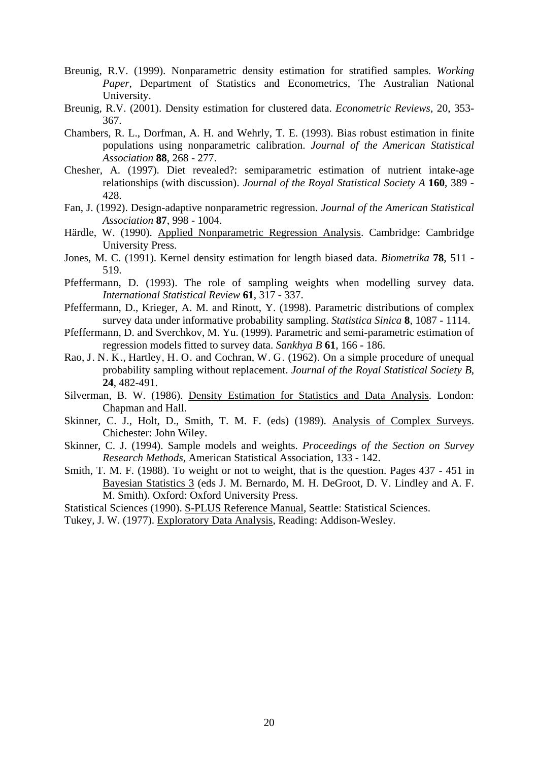- Breunig, R.V. (1999). Nonparametric density estimation for stratified samples. *Working Paper*, Department of Statistics and Econometrics, The Australian National University.
- Breunig, R.V. (2001). Density estimation for clustered data. *Econometric Reviews*, 20, 353- 367.
- Chambers, R. L., Dorfman, A. H. and Wehrly, T. E. (1993). Bias robust estimation in finite populations using nonparametric calibration. *Journal of the American Statistical Association* **88**, 268 - 277.
- Chesher, A. (1997). Diet revealed?: semiparametric estimation of nutrient intake-age relationships (with discussion). *Journal of the Royal Statistical Society A* **160**, 389 - 428.
- Fan, J. (1992). Design-adaptive nonparametric regression. *Journal of the American Statistical Association* **87**, 998 - 1004.
- Härdle, W. (1990). Applied Nonparametric Regression Analysis. Cambridge: Cambridge University Press.
- Jones, M. C. (1991). Kernel density estimation for length biased data. *Biometrika* **78**, 511 519.
- Pfeffermann, D. (1993). The role of sampling weights when modelling survey data. *International Statistical Review* **61**, 317 - 337.
- Pfeffermann, D., Krieger, A. M. and Rinott, Y. (1998). Parametric distributions of complex survey data under informative probability sampling. *Statistica Sinica* **8**, 1087 - 1114.
- Pfeffermann, D. and Sverchkov, M. Yu. (1999). Parametric and semi-parametric estimation of regression models fitted to survey data. *Sankhya B* **61**, 166 - 186.
- Rao, J. N. K., Hartley, H. O. and Cochran, W. G. (1962). On a simple procedure of unequal probability sampling without replacement. *Journal of the Royal Statistical Society B*, **24**, 482-491.
- Silverman, B. W. (1986). Density Estimation for Statistics and Data Analysis. London: Chapman and Hall.
- Skinner, C. J., Holt, D., Smith, T. M. F. (eds) (1989). Analysis of Complex Surveys. Chichester: John Wiley.
- Skinner, C. J. (1994). Sample models and weights. *Proceedings of the Section on Survey Research Methods*, American Statistical Association, 133 - 142.
- Smith, T. M. F. (1988). To weight or not to weight, that is the question. Pages 437 451 in Bayesian Statistics 3 (eds J. M. Bernardo, M. H. DeGroot, D. V. Lindley and A. F. M. Smith). Oxford: Oxford University Press.
- Statistical Sciences (1990). S-PLUS Reference Manual, Seattle: Statistical Sciences.

Tukey, J. W. (1977). Exploratory Data Analysis, Reading: Addison-Wesley.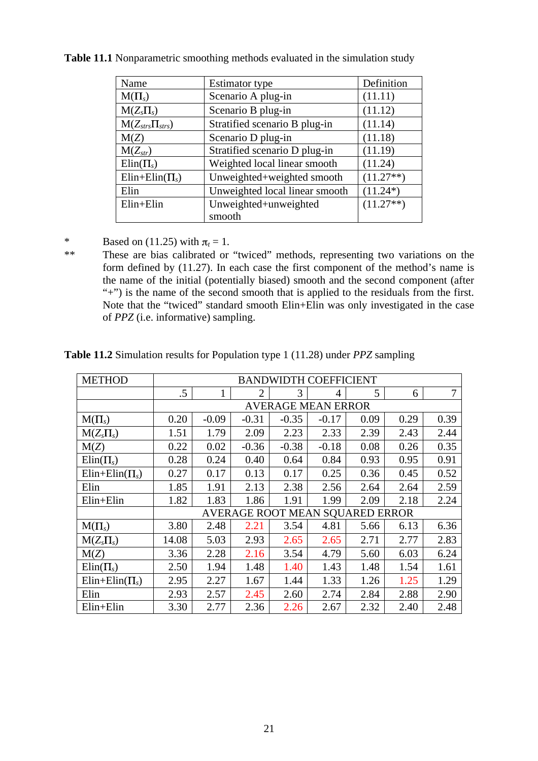| Name                                  | <b>Estimator</b> type          | Definition  |
|---------------------------------------|--------------------------------|-------------|
| $M(\Pi_s)$                            | Scenario A plug-in             | (11.11)     |
| $M(Z_s\Pi_s)$                         | Scenario B plug-in             | (11.12)     |
| $M(Z_{\text{strs}}\Pi_{\text{strs}})$ | Stratified scenario B plug-in  | (11.14)     |
| M(Z)                                  | Scenario D plug-in             | (11.18)     |
| $M(Z_{str})$                          | Stratified scenario D plug-in  | (11.19)     |
| $\text{Elim}(\Pi_s)$                  | Weighted local linear smooth   | (11.24)     |
| $Elim+Elim(\Pi_s)$                    | Unweighted+weighted smooth     | $(11.27**)$ |
| Elin                                  | Unweighted local linear smooth | $(11.24*)$  |
| $Elin+Elin$                           | Unweighted+unweighted          | $(11.27**)$ |
|                                       | smooth                         |             |

**Table 11.1** Nonparametric smoothing methods evaluated in the simulation study

\* Based on (11.25) with  $\pi_t = 1$ .

\*\* These are bias calibrated or "twiced" methods, representing two variations on the form defined by (11.27). In each case the first component of the method's name is the name of the initial (potentially biased) smooth and the second component (after "+") is the name of the second smooth that is applied to the residuals from the first. Note that the "twiced" standard smooth Elin+Elin was only investigated in the case of *PPZ* (i.e. informative) sampling.

| <b>METHOD</b>      | <b>BANDWIDTH COEFFICIENT</b> |              |                |         |                                 |      |      |      |  |
|--------------------|------------------------------|--------------|----------------|---------|---------------------------------|------|------|------|--|
|                    | .5                           | $\mathbf{1}$ | $\overline{2}$ | 3       | 4                               | 5    | 6    | 7    |  |
|                    | <b>AVERAGE MEAN ERROR</b>    |              |                |         |                                 |      |      |      |  |
| $M(\Pi_s)$         | 0.20                         | $-0.09$      | $-0.31$        | $-0.35$ | $-0.17$                         | 0.09 | 0.29 | 0.39 |  |
| $M(Z_s\Pi_s)$      | 1.51                         | 1.79         | 2.09           | 2.23    | 2.33                            | 2.39 | 2.43 | 2.44 |  |
| M(Z)               | 0.22                         | 0.02         | $-0.36$        | $-0.38$ | $-0.18$                         | 0.08 | 0.26 | 0.35 |  |
| $Elin(\Pi_s)$      | 0.28                         | 0.24         | 0.40           | 0.64    | 0.84                            | 0.93 | 0.95 | 0.91 |  |
| $Elim+Elim(\Pi_s)$ | 0.27                         | 0.17         | 0.13           | 0.17    | 0.25                            | 0.36 | 0.45 | 0.52 |  |
| Elin               | 1.85                         | 1.91         | 2.13           | 2.38    | 2.56                            | 2.64 | 2.64 | 2.59 |  |
| Elin+Elin          | 1.82                         | 1.83         | 1.86           | 1.91    | 1.99                            | 2.09 | 2.18 | 2.24 |  |
|                    |                              |              |                |         | AVERAGE ROOT MEAN SQUARED ERROR |      |      |      |  |
| $M(\Pi_s)$         | 3.80                         | 2.48         | 2.21           | 3.54    | 4.81                            | 5.66 | 6.13 | 6.36 |  |
| $M(Z_s\Pi_s)$      | 14.08                        | 5.03         | 2.93           | 2.65    | 2.65                            | 2.71 | 2.77 | 2.83 |  |
| M(Z)               | 3.36                         | 2.28         | 2.16           | 3.54    | 4.79                            | 5.60 | 6.03 | 6.24 |  |
| $Elim(\Pi_s)$      | 2.50                         | 1.94         | 1.48           | 1.40    | 1.43                            | 1.48 | 1.54 | 1.61 |  |
| $Elim+Elim(\Pi_s)$ | 2.95                         | 2.27         | 1.67           | 1.44    | 1.33                            | 1.26 | 1.25 | 1.29 |  |
| Elin               | 2.93                         | 2.57         | 2.45           | 2.60    | 2.74                            | 2.84 | 2.88 | 2.90 |  |
| $Elin+Elin$        | 3.30                         | 2.77         | 2.36           | 2.26    | 2.67                            | 2.32 | 2.40 | 2.48 |  |

**Table 11.2** Simulation results for Population type 1 (11.28) under *PPZ* sampling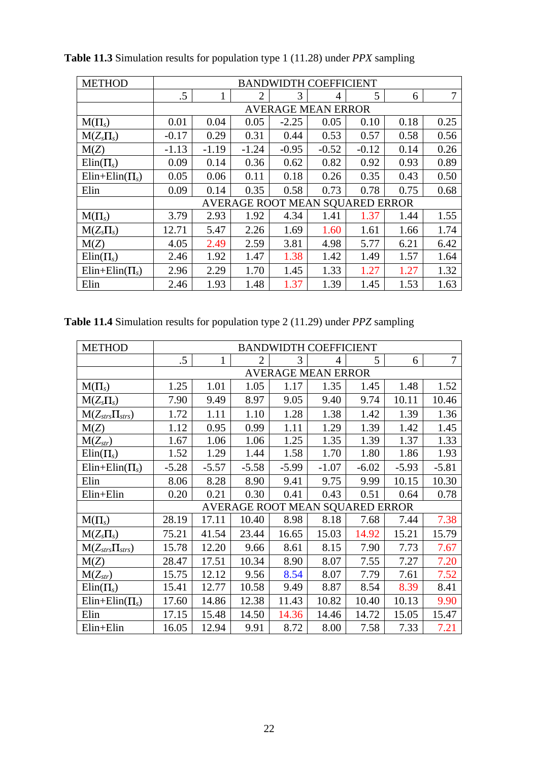| <b>METHOD</b>        | BANDWIDTH COEFFICIENT     |                                 |                |         |                |         |      |                          |  |  |
|----------------------|---------------------------|---------------------------------|----------------|---------|----------------|---------|------|--------------------------|--|--|
|                      | .5                        | $\mathbf{1}$                    | $\overline{2}$ | 3       | $\overline{4}$ | 5       | 6    | $\overline{\mathcal{L}}$ |  |  |
|                      | <b>AVERAGE MEAN ERROR</b> |                                 |                |         |                |         |      |                          |  |  |
| $M(\Pi_s)$           | 0.01                      | 0.04                            | 0.05           | $-2.25$ | 0.05           | 0.10    | 0.18 | 0.25                     |  |  |
| $M(Z_s\Pi_s)$        | $-0.17$                   | 0.29                            | 0.31           | 0.44    | 0.53           | 0.57    | 0.58 | 0.56                     |  |  |
| M(Z)                 | $-1.13$                   | $-1.19$                         | $-1.24$        | $-0.95$ | $-0.52$        | $-0.12$ | 0.14 | 0.26                     |  |  |
| $\text{Elin}(\Pi_s)$ | 0.09                      | 0.14                            | 0.36           | 0.62    | 0.82           | 0.92    | 0.93 | 0.89                     |  |  |
| $Elim+Elim(\Pi_s)$   | 0.05                      | 0.06                            | 0.11           | 0.18    | 0.26           | 0.35    | 0.43 | 0.50                     |  |  |
| Elin                 | 0.09                      | 0.14                            | 0.35           | 0.58    | 0.73           | 0.78    | 0.75 | 0.68                     |  |  |
|                      |                           | AVERAGE ROOT MEAN SQUARED ERROR |                |         |                |         |      |                          |  |  |
| $M(\Pi_s)$           | 3.79                      | 2.93                            | 1.92           | 4.34    | 1.41           | 1.37    | 1.44 | 1.55                     |  |  |
| $M(Z_s\Pi_s)$        | 12.71                     | 5.47                            | 2.26           | 1.69    | 1.60           | 1.61    | 1.66 | 1.74                     |  |  |
| M(Z)                 | 4.05                      | 2.49                            | 2.59           | 3.81    | 4.98           | 5.77    | 6.21 | 6.42                     |  |  |
| $Elin(\Pi_s)$        | 2.46                      | 1.92                            | 1.47           | 1.38    | 1.42           | 1.49    | 1.57 | 1.64                     |  |  |
| $Elim+Elim(\Pi_s)$   | 2.96                      | 2.29                            | 1.70           | 1.45    | 1.33           | 1.27    | 1.27 | 1.32                     |  |  |
| Elin                 | 2.46                      | 1.93                            | 1.48           | 1.37    | 1.39           | 1.45    | 1.53 | 1.63                     |  |  |

**Table 11.3** Simulation results for population type 1 (11.28) under *PPX* sampling

**Table 11.4** Simulation results for population type 2 (11.29) under *PPZ* sampling

| <b>METHOD</b>                         | <b>BANDWIDTH COEFFICIENT</b> |         |         |         |                                 |         |         |         |  |
|---------------------------------------|------------------------------|---------|---------|---------|---------------------------------|---------|---------|---------|--|
|                                       | $.5\,$                       | 1       | 2       | 3       | $\overline{4}$                  | 5       | 6       | 7       |  |
|                                       | <b>AVERAGE MEAN ERROR</b>    |         |         |         |                                 |         |         |         |  |
| $M(\Pi_s)$                            | 1.25                         | 1.01    | 1.05    | 1.17    | 1.35                            | 1.45    | 1.48    | 1.52    |  |
| $M(Z_s\Pi_s)$                         | 7.90                         | 9.49    | 8.97    | 9.05    | 9.40                            | 9.74    | 10.11   | 10.46   |  |
| $M(Z_{\text{strs}}\Pi_{\text{strs}})$ | 1.72                         | 1.11    | 1.10    | 1.28    | 1.38                            | 1.42    | 1.39    | 1.36    |  |
| M(Z)                                  | 1.12                         | 0.95    | 0.99    | 1.11    | 1.29                            | 1.39    | 1.42    | 1.45    |  |
| $M(Z_{str})$                          | 1.67                         | 1.06    | 1.06    | 1.25    | 1.35                            | 1.39    | 1.37    | 1.33    |  |
| $\text{Elin}(\Pi_s)$                  | 1.52                         | 1.29    | 1.44    | 1.58    | 1.70                            | 1.80    | 1.86    | 1.93    |  |
| $Elin+Elin(\Pi_s)$                    | $-5.28$                      | $-5.57$ | $-5.58$ | $-5.99$ | $-1.07$                         | $-6.02$ | $-5.93$ | $-5.81$ |  |
| Elin                                  | 8.06                         | 8.28    | 8.90    | 9.41    | 9.75                            | 9.99    | 10.15   | 10.30   |  |
| Elin+Elin                             | 0.20                         | 0.21    | 0.30    | 0.41    | 0.43                            | 0.51    | 0.64    | 0.78    |  |
|                                       |                              |         |         |         | AVERAGE ROOT MEAN SQUARED ERROR |         |         |         |  |
| $M(\Pi_s)$                            | 28.19                        | 17.11   | 10.40   | 8.98    | 8.18                            | 7.68    | 7.44    | 7.38    |  |
| $M(Z_s\Pi_s)$                         | 75.21                        | 41.54   | 23.44   | 16.65   | 15.03                           | 14.92   | 15.21   | 15.79   |  |
| $M(Z_{\text{strs}}\Pi_{\text{strs}})$ | 15.78                        | 12.20   | 9.66    | 8.61    | 8.15                            | 7.90    | 7.73    | 7.67    |  |
| M(Z)                                  | 28.47                        | 17.51   | 10.34   | 8.90    | 8.07                            | 7.55    | 7.27    | 7.20    |  |
| $M(Z_{str})$                          | 15.75                        | 12.12   | 9.56    | 8.54    | 8.07                            | 7.79    | 7.61    | 7.52    |  |
| $\text{Elin}(\Pi_s)$                  | 15.41                        | 12.77   | 10.58   | 9.49    | 8.87                            | 8.54    | 8.39    | 8.41    |  |
| $Elin+Elin(\Pi_s)$                    | 17.60                        | 14.86   | 12.38   | 11.43   | 10.82                           | 10.40   | 10.13   | 9.90    |  |
| Elin                                  | 17.15                        | 15.48   | 14.50   | 14.36   | 14.46                           | 14.72   | 15.05   | 15.47   |  |
| $Elin + Elin$                         | 16.05                        | 12.94   | 9.91    | 8.72    | 8.00                            | 7.58    | 7.33    | 7.21    |  |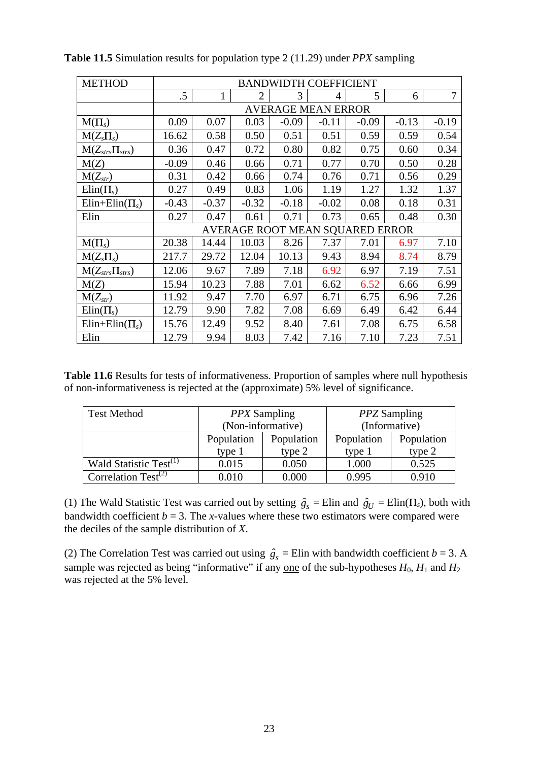| <b>METHOD</b>                         | <b>BANDWIDTH COEFFICIENT</b> |         |                |         |                                 |         |         |         |  |
|---------------------------------------|------------------------------|---------|----------------|---------|---------------------------------|---------|---------|---------|--|
|                                       | $.5\,$                       | 1       | $\overline{2}$ | 3       | 4                               | 5       | 6       | 7       |  |
|                                       | <b>AVERAGE MEAN ERROR</b>    |         |                |         |                                 |         |         |         |  |
| $M(\Pi_s)$                            | 0.09                         | 0.07    | 0.03           | $-0.09$ | $-0.11$                         | $-0.09$ | $-0.13$ | $-0.19$ |  |
| $M(Z_s\Pi_s)$                         | 16.62                        | 0.58    | 0.50           | 0.51    | 0.51                            | 0.59    | 0.59    | 0.54    |  |
| $M(Z_{\text{strs}}\Pi_{\text{strs}})$ | 0.36                         | 0.47    | 0.72           | 0.80    | 0.82                            | 0.75    | 0.60    | 0.34    |  |
| M(Z)                                  | $-0.09$                      | 0.46    | 0.66           | 0.71    | 0.77                            | 0.70    | 0.50    | 0.28    |  |
| $M(Z_{str})$                          | 0.31                         | 0.42    | 0.66           | 0.74    | 0.76                            | 0.71    | 0.56    | 0.29    |  |
| $\text{Elin}(\Pi_s)$                  | 0.27                         | 0.49    | 0.83           | 1.06    | 1.19                            | 1.27    | 1.32    | 1.37    |  |
| $Elim+Elim(\Pi_s)$                    | $-0.43$                      | $-0.37$ | $-0.32$        | $-0.18$ | $-0.02$                         | 0.08    | 0.18    | 0.31    |  |
| Elin                                  | 0.27                         | 0.47    | 0.61           | 0.71    | 0.73                            | 0.65    | 0.48    | 0.30    |  |
|                                       |                              |         |                |         | AVERAGE ROOT MEAN SQUARED ERROR |         |         |         |  |
| $M(\Pi_s)$                            | 20.38                        | 14.44   | 10.03          | 8.26    | 7.37                            | 7.01    | 6.97    | 7.10    |  |
| $M(Z_s\Pi_s)$                         | 217.7                        | 29.72   | 12.04          | 10.13   | 9.43                            | 8.94    | 8.74    | 8.79    |  |
| $M(Z_{\text{strs}}\Pi_{\text{strs}})$ | 12.06                        | 9.67    | 7.89           | 7.18    | 6.92                            | 6.97    | 7.19    | 7.51    |  |
| M(Z)                                  | 15.94                        | 10.23   | 7.88           | 7.01    | 6.62                            | 6.52    | 6.66    | 6.99    |  |
| $M(Z_{str})$                          | 11.92                        | 9.47    | 7.70           | 6.97    | 6.71                            | 6.75    | 6.96    | 7.26    |  |
| $\text{Elin}(\Pi_s)$                  | 12.79                        | 9.90    | 7.82           | 7.08    | 6.69                            | 6.49    | 6.42    | 6.44    |  |
| $Elim+Elim(\Pi_s)$                    | 15.76                        | 12.49   | 9.52           | 8.40    | 7.61                            | 7.08    | 6.75    | 6.58    |  |
| Elin                                  | 12.79                        | 9.94    | 8.03           | 7.42    | 7.16                            | 7.10    | 7.23    | 7.51    |  |

**Table 11.5** Simulation results for population type 2 (11.29) under *PPX* sampling

**Table 11.6** Results for tests of informativeness. Proportion of samples where null hypothesis of non-informativeness is rejected at the (approximate) 5% level of significance.

| <b>Test Method</b>                 | <b>PPX</b> Sampling |            | <b>PPZ</b> Sampling |            |  |
|------------------------------------|---------------------|------------|---------------------|------------|--|
|                                    | (Non-informative)   |            | (Informative)       |            |  |
|                                    | Population          | Population | Population          | Population |  |
|                                    | type 1              | type $2$   | type 1              | type 2     |  |
| Wald Statistic Test <sup>(1)</sup> | 0.015               | 0.050      | 1.000               | 0.525      |  |
| Correlation Test <sup>(2)</sup>    | $0.010\,$           | 0.000      | 0.995               | 0.910      |  |

(1) The Wald Statistic Test was carried out by setting  $\hat{g}_s =$  Elin and  $\hat{g}_U =$  Elin( $\Pi_s$ ), both with bandwidth coefficient  $b = 3$ . The *x*-values where these two estimators were compared were the deciles of the sample distribution of *X*.

(2) The Correlation Test was carried out using  $\hat{g}_s =$  Elin with bandwidth coefficient *b* = 3. A sample was rejected as being "informative" if any <u>one</u> of the sub-hypotheses  $H_0$ ,  $H_1$  and  $H_2$ was rejected at the 5% level.